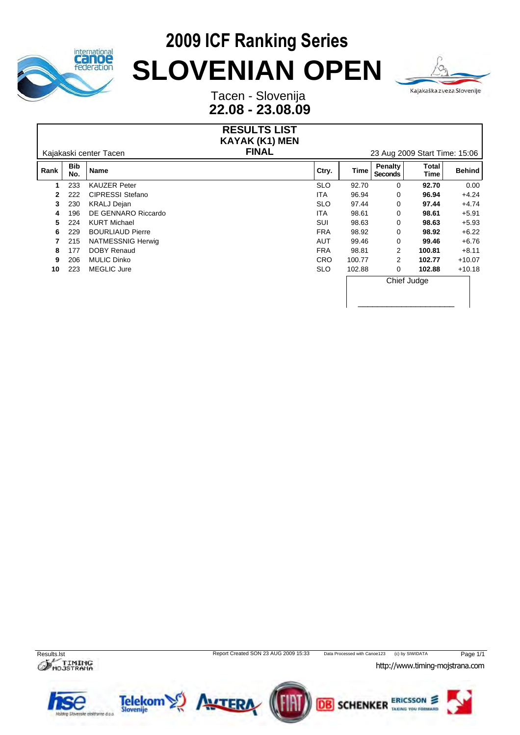



Tacen - Slovenija **22.08 - 23.08.09**

#### **RESULTS LIST** Kajakaski center Tacen **FINAL** 23 Aug 2009 Start Time: 15:06 **KAYAK (K1) MEN Rank Bib Name No. Name Ctry. Time Penalty Seconds** Total<br> **Time** Behind **Time Behind 1** 233 KAUZER Peter SLO 92.70 0 **92.70** 0.00 **2** 222 CIPRESSI Stefano ITA 96.94 0 **96.94** +4.24 **3** 230 KRALJ Dejan SLO 97.44 0 **97.44** +4.74 **4** 196 DE GENNARO Riccardo ITA 98.61 0 **98.61** +5.91 **5** 224 KURT Michael SUI 98.63 0 **98.63** +5.93 **6** 229 BOURLIAUD Pierre FRA 98.92 0 **98.92** +6.22 **7** 215 NATMESSNIG Herwig AUT 99.46 0 **99.46** +6.76 **8** 177 DOBY Renaud FRA 98.81 2 **100.81** +8.11 **9** 206 MULIC Dinko CRO 100.77 2 **102.77** +10.07 **10** 223 MEGLIC Jure SLO 102.88 0 **102.88** +10.18 Chief Judge \_\_\_\_\_\_\_\_\_\_\_\_\_\_\_\_\_\_\_\_



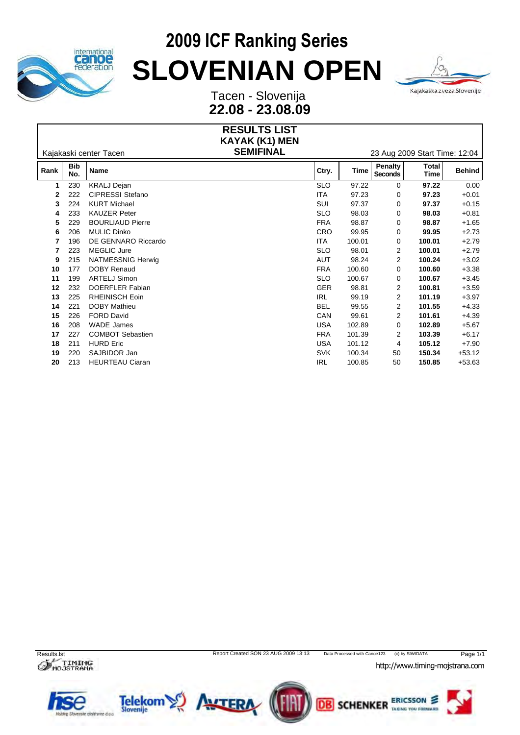



Tacen - Slovenija **22.08 - 23.08.09**

|      |                        |                         | <b>RESULTS LIST</b>   |                               |        |                                  |                      |               |  |
|------|------------------------|-------------------------|-----------------------|-------------------------------|--------|----------------------------------|----------------------|---------------|--|
|      |                        |                         | <b>KAYAK (K1) MEN</b> |                               |        |                                  |                      |               |  |
|      | Kajakaski center Tacen |                         | <b>SEMIFINAL</b>      | 23 Aug 2009 Start Time: 12:04 |        |                                  |                      |               |  |
| Rank | <b>Bib</b><br>No.      | <b>Name</b>             |                       | Ctry.                         | Time   | <b>Penalty</b><br><b>Seconds</b> | <b>Total</b><br>Time | <b>Behind</b> |  |
| 1    | 230                    | <b>KRALJ Dejan</b>      |                       | <b>SLO</b>                    | 97.22  | $\mathbf 0$                      | 97.22                | 0.00          |  |
| 2    | 222                    | <b>CIPRESSI Stefano</b> |                       | <b>ITA</b>                    | 97.23  | 0                                | 97.23                | $+0.01$       |  |
| 3    | 224                    | <b>KURT Michael</b>     |                       | SUI                           | 97.37  | 0                                | 97.37                | $+0.15$       |  |
| 4    | 233                    | <b>KAUZER Peter</b>     |                       | <b>SLO</b>                    | 98.03  | $\mathbf 0$                      | 98.03                | $+0.81$       |  |
| 5    | 229                    | <b>BOURLIAUD Pierre</b> |                       | <b>FRA</b>                    | 98.87  | 0                                | 98.87                | $+1.65$       |  |
| 6    | 206                    | <b>MULIC Dinko</b>      |                       | <b>CRO</b>                    | 99.95  | 0                                | 99.95                | $+2.73$       |  |
| 7    | 196                    | DE GENNARO Riccardo     |                       | <b>ITA</b>                    | 100.01 | 0                                | 100.01               | $+2.79$       |  |
| 7    | 223                    | <b>MEGLIC Jure</b>      |                       | <b>SLO</b>                    | 98.01  | 2                                | 100.01               | $+2.79$       |  |
| 9    | 215                    | NATMESSNIG Herwig       |                       | <b>AUT</b>                    | 98.24  | 2                                | 100.24               | $+3.02$       |  |
| 10   | 177                    | <b>DOBY Renaud</b>      |                       | <b>FRA</b>                    | 100.60 | 0                                | 100.60               | $+3.38$       |  |
| 11   | 199                    | <b>ARTELJ Simon</b>     |                       | <b>SLO</b>                    | 100.67 | 0                                | 100.67               | $+3.45$       |  |
| 12   | 232                    | DOERFLER Fabian         |                       | GER                           | 98.81  | 2                                | 100.81               | $+3.59$       |  |
| 13   | 225                    | RHEINISCH Eoin          |                       | <b>IRL</b>                    | 99.19  | 2                                | 101.19               | $+3.97$       |  |
| 14   | 221                    | <b>DOBY Mathieu</b>     |                       | <b>BEL</b>                    | 99.55  | 2                                | 101.55               | $+4.33$       |  |
| 15   | 226                    | <b>FORD David</b>       |                       | CAN                           | 99.61  | 2                                | 101.61               | $+4.39$       |  |
| 16   | 208                    | WADE James              |                       | <b>USA</b>                    | 102.89 | $\mathbf 0$                      | 102.89               | $+5.67$       |  |
| 17   | 227                    | <b>COMBOT Sebastien</b> |                       | <b>FRA</b>                    | 101.39 | 2                                | 103.39               | $+6.17$       |  |
| 18   | 211                    | <b>HURD Eric</b>        |                       | <b>USA</b>                    | 101.12 | 4                                | 105.12               | $+7.90$       |  |
| 19   | 220                    | SAJBIDOR Jan            |                       | <b>SVK</b>                    | 100.34 | 50                               | 150.34               | $+53.12$      |  |
| 20   | 213                    | <b>HEURTEAU Ciaran</b>  |                       | <b>IRL</b>                    | 100.85 | 50                               | 150.85               | $+53.63$      |  |



*<http://www.timing-mojstrana.com>*



ERICSSON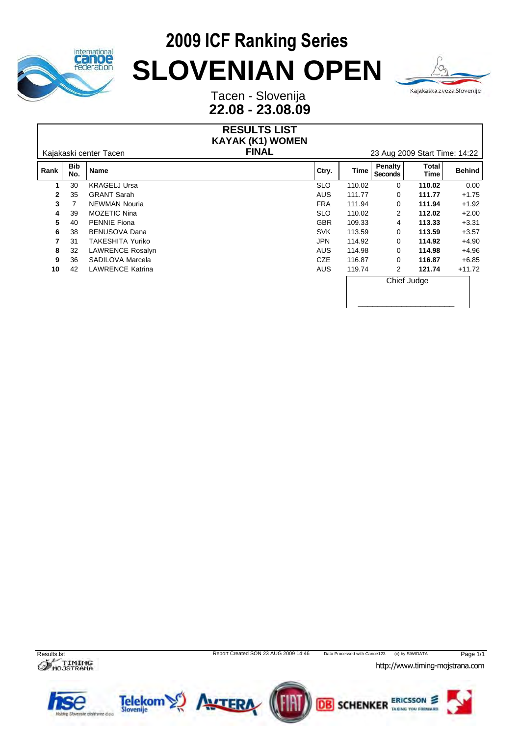



Tacen - Slovenija **22.08 - 23.08.09**

#### **RESULTS LIST** Kajakaski center Tacen **FINAL** 23 Aug 2009 Start Time: 14:22 **KAYAK (K1) WOMEN Rank Bib Name No. Name Ctry. Time Penalty Seconds** Total<br> **Time** Behind **Time Behind 1** 30 KRAGELJ Ursa SLO 110.02 0 **110.02** 0.00 **2** 35 GRANT Sarah AUS 111.77 0 **111.77** +1.75 **3** 7 NEWMAN Nouria FRA 111.94 0 **111.94** +1.92 **4** 39 MOZETIC Nina SLO 110.02 2 **112.02** +2.00 **5** 40 PENNIE Fiona GBR 109.33 4 **113.33** +3.31 **6** 38 BENUSOVA Dana **SVK** 113.59 0 **113.59** +3.57 **7** 31 TAKESHITA Yuriko JPN 114.92 0 **114.92** +4.90 **8** 32 LAWRENCE Rosalyn **AUS 114.98** 0 **114.98** +4.96 **9** 36 SADILOVA Marcela CZE 116.87 0 **116.87** +6.85 **10** 42 LAWRENCE Katrina **AUS 119.74** 2 **121.74** +11.72 Chief Judge \_\_\_\_\_\_\_\_\_\_\_\_\_\_\_\_\_\_\_\_



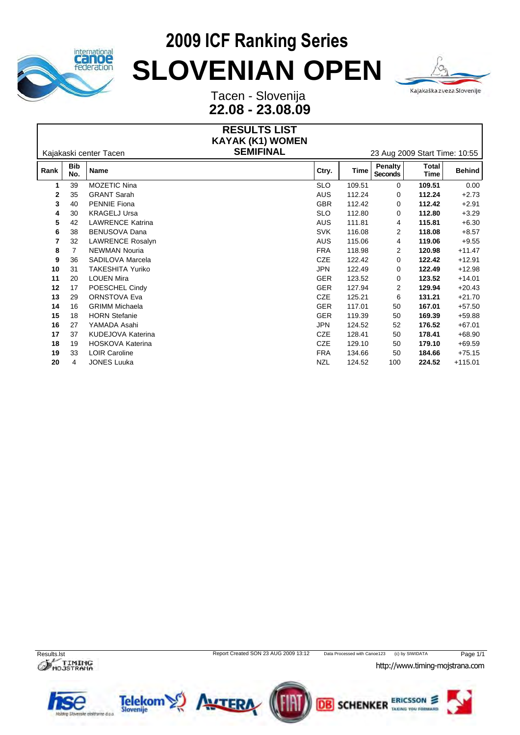



Tacen - Slovenija **22.08 - 23.08.09**

|      |                   |                         | <b>RESULTS LIST</b>                  |                               |        |                           |                      |               |  |  |
|------|-------------------|-------------------------|--------------------------------------|-------------------------------|--------|---------------------------|----------------------|---------------|--|--|
|      |                   | Kajakaski center Tacen  | KAYAK (K1) WOMEN<br><b>SEMIFINAL</b> | 23 Aug 2009 Start Time: 10:55 |        |                           |                      |               |  |  |
| Rank | <b>Bib</b><br>No. | Name                    |                                      | Ctry.                         | Time   | <b>Penalty</b><br>Seconds | Total<br><b>Time</b> | <b>Behind</b> |  |  |
| 1    | 39                | MOZETIC Nina            |                                      | <b>SLO</b>                    | 109.51 | $\mathbf{0}$              | 109.51               | 0.00          |  |  |
| 2    | 35                | <b>GRANT Sarah</b>      |                                      | <b>AUS</b>                    | 112.24 | 0                         | 112.24               | $+2.73$       |  |  |
| 3    | 40                | <b>PENNIE Fiona</b>     |                                      | <b>GBR</b>                    | 112.42 | $\mathbf 0$               | 112.42               | $+2.91$       |  |  |
|      | 30                | <b>KRAGELJ Ursa</b>     |                                      | <b>SLO</b>                    | 112.80 | $\mathbf 0$               | 112.80               | $+3.29$       |  |  |
| 5    | 42                | <b>LAWRENCE Katrina</b> |                                      | AUS                           | 111.81 | 4                         | 115.81               | $+6.30$       |  |  |
| 6    | 38                | BENUSOVA Dana           |                                      | <b>SVK</b>                    | 116.08 | $\overline{2}$            | 118.08               | $+8.57$       |  |  |
|      | 32                | LAWRENCE Rosalyn        |                                      | <b>AUS</b>                    | 115.06 | 4                         | 119.06               | $+9.55$       |  |  |
| 8    |                   | <b>NEWMAN Nouria</b>    |                                      | <b>FRA</b>                    | 118.98 | $\overline{2}$            | 120.98               | $+11.47$      |  |  |
| 9    | 36                | SADILOVA Marcela        |                                      | CZE                           | 122.42 | 0                         | 122.42               | $+12.91$      |  |  |
| 10   | 31                | <b>TAKESHITA Yuriko</b> |                                      | <b>JPN</b>                    | 122.49 | $\mathbf 0$               | 122.49               | $+12.98$      |  |  |
| 11   | 20                | <b>LOUEN Mira</b>       |                                      | <b>GER</b>                    | 123.52 | 0                         | 123.52               | $+14.01$      |  |  |
| 12   | 17                | POESCHEL Cindy          |                                      | <b>GER</b>                    | 127.94 | 2                         | 129.94               | $+20.43$      |  |  |
| 13   | 29                | ORNSTOVA Eva            |                                      | <b>CZE</b>                    | 125.21 | 6                         | 131.21               | $+21.70$      |  |  |
| 14   | 16                | <b>GRIMM Michaela</b>   |                                      | <b>GER</b>                    | 117.01 | 50                        | 167.01               | $+57.50$      |  |  |
| 15   | 18                | <b>HORN</b> Stefanie    |                                      | <b>GER</b>                    | 119.39 | 50                        | 169.39               | $+59.88$      |  |  |
| 16   | 27                | YAMADA Asahi            |                                      | <b>JPN</b>                    | 124.52 | 52                        | 176.52               | $+67.01$      |  |  |
| 17   | 37                | KUDEJOVA Katerina       |                                      | <b>CZE</b>                    | 128.41 | 50                        | 178.41               | $+68.90$      |  |  |
| 18   | 19                | HOSKOVA Katerina        |                                      | <b>CZE</b>                    | 129.10 | 50                        | 179.10               | $+69.59$      |  |  |
| 19   | 33                | LOIR Caroline           |                                      | <b>FRA</b>                    | 134.66 | 50                        | 184.66               | $+75.15$      |  |  |
| 20   |                   | <b>JONES Luuka</b>      |                                      | <b>NZL</b>                    | 124.52 | 100                       | 224.52               | $+115.01$     |  |  |
|      |                   |                         |                                      |                               |        |                           |                      |               |  |  |

 $\sigma$ <sub>Mo</sub>JSTRANA

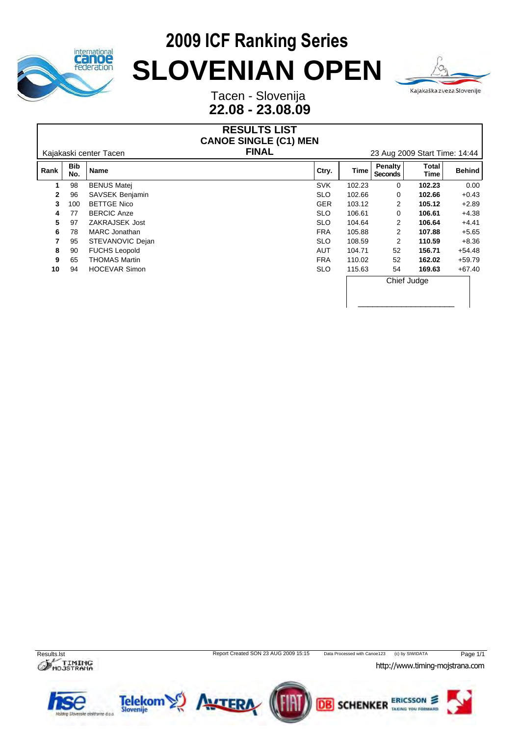



Tacen - Slovenija **22.08 - 23.08.09**

#### **RESULTS LIST CANOE SINGLE (C1) MEN**

Kajakaski center Tacen **FINAL** 23 Aug 2009 Start Time: 14:44

\_\_\_\_\_\_\_\_\_\_\_\_\_\_\_\_\_\_\_\_

| Rank         | <b>Bib</b><br>No. | Name                 | Ctry.      | Time   | <b>Penalty</b><br><b>Seconds</b> | <b>Total</b><br>Time | <b>Behind</b> |
|--------------|-------------------|----------------------|------------|--------|----------------------------------|----------------------|---------------|
|              | 98                | <b>BENUS Matei</b>   | <b>SVK</b> | 102.23 | 0                                | 102.23               | 0.00          |
| $\mathbf{2}$ | 96                | SAVSEK Benjamin      | <b>SLO</b> | 102.66 | 0                                | 102.66               | $+0.43$       |
| $3^{\circ}$  | 100               | <b>BETTGE Nico</b>   | <b>GER</b> | 103.12 | $\overline{2}$                   | 105.12               | $+2.89$       |
| 4            | 77                | <b>BERCIC Anze</b>   | <b>SLO</b> | 106.61 | 0                                | 106.61               | $+4.38$       |
| 5.           | 97                | ZAKRAJSEK Jost       | <b>SLO</b> | 104.64 | $\overline{2}$                   | 106.64               | $+4.41$       |
| 6.           | 78                | <b>MARC</b> Jonathan | <b>FRA</b> | 105.88 | $\overline{2}$                   | 107.88               | $+5.65$       |
|              | 95                | STEVANOVIC Dejan     | <b>SLO</b> | 108.59 | $\overline{2}$                   | 110.59               | $+8.36$       |
| 8            | 90                | <b>FUCHS Leopold</b> | AUT        | 104.71 | 52                               | 156.71               | $+54.48$      |
| 9            | 65                | <b>THOMAS Martin</b> | <b>FRA</b> | 110.02 | 52                               | 162.02               | $+59.79$      |
| 10           | 94                | <b>HOCEVAR Simon</b> | <b>SLO</b> | 115.63 | 54                               | 169.63               | $+67.40$      |
|              |                   |                      |            |        | Chief Judge                      |                      |               |



 $\mathcal O$  MOJSTRANA

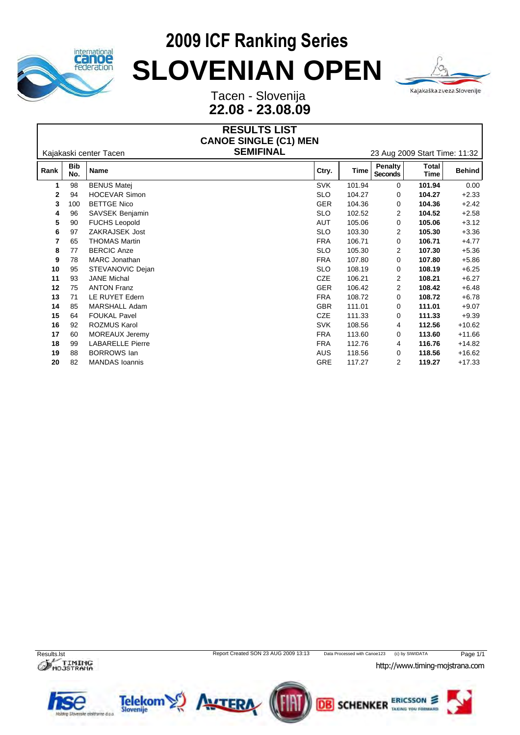



Tacen - Slovenija **22.08 - 23.08.09**

|              |                   |                         | <b>RESULTS LIST</b><br><b>CANOE SINGLE (C1) MEN</b> |                               |             |                           |                      |               |  |  |
|--------------|-------------------|-------------------------|-----------------------------------------------------|-------------------------------|-------------|---------------------------|----------------------|---------------|--|--|
|              |                   | Kajakaski center Tacen  |                                                     | 23 Aug 2009 Start Time: 11:32 |             |                           |                      |               |  |  |
| Rank         | <b>Bib</b><br>No. | <b>Name</b>             |                                                     | Ctry.                         | <b>Time</b> | <b>Penalty</b><br>Seconds | <b>Total</b><br>Time | <b>Behind</b> |  |  |
| 1            | 98                | <b>BENUS Matej</b>      |                                                     | <b>SVK</b>                    | 101.94      | 0                         | 101.94               | 0.00          |  |  |
| $\mathbf{2}$ | 94                | <b>HOCEVAR Simon</b>    |                                                     | <b>SLO</b>                    | 104.27      | 0                         | 104.27               | $+2.33$       |  |  |
| 3            | 100               | <b>BETTGE Nico</b>      |                                                     | <b>GER</b>                    | 104.36      | 0                         | 104.36               | $+2.42$       |  |  |
|              | 96                | SAVSEK Benjamin         |                                                     | <b>SLO</b>                    | 102.52      | $\overline{2}$            | 104.52               | $+2.58$       |  |  |
| 5            | 90                | <b>FUCHS Leopold</b>    |                                                     | <b>AUT</b>                    | 105.06      | 0                         | 105.06               | $+3.12$       |  |  |
| 6            | 97                | ZAKRAJSEK Jost          |                                                     | <b>SLO</b>                    | 103.30      | $\overline{2}$            | 105.30               | $+3.36$       |  |  |
|              | 65                | <b>THOMAS Martin</b>    |                                                     | <b>FRA</b>                    | 106.71      | 0                         | 106.71               | $+4.77$       |  |  |
| 8            | 77                | <b>BERCIC Anze</b>      |                                                     | <b>SLO</b>                    | 105.30      | $\overline{2}$            | 107.30               | $+5.36$       |  |  |
| 9            | 78                | <b>MARC</b> Jonathan    |                                                     | <b>FRA</b>                    | 107.80      | 0                         | 107.80               | $+5.86$       |  |  |
| 10           | 95                | STEVANOVIC Dejan        |                                                     | <b>SLO</b>                    | 108.19      | 0                         | 108.19               | $+6.25$       |  |  |
| 11           | 93                | <b>JANE Michal</b>      |                                                     | CZE                           | 106.21      | $\overline{2}$            | 108.21               | $+6.27$       |  |  |
| 12           | 75                | <b>ANTON Franz</b>      |                                                     | <b>GER</b>                    | 106.42      | $\overline{2}$            | 108.42               | $+6.48$       |  |  |
| 13           | 71                | LE RUYET Edern          |                                                     | <b>FRA</b>                    | 108.72      | 0                         | 108.72               | $+6.78$       |  |  |
| 14           | 85                | MARSHALL Adam           |                                                     | <b>GBR</b>                    | 111.01      | 0                         | 111.01               | $+9.07$       |  |  |
| 15           | 64                | <b>FOUKAL Pavel</b>     |                                                     | <b>CZE</b>                    | 111.33      | 0                         | 111.33               | $+9.39$       |  |  |
| 16           | 92                | ROZMUS Karol            |                                                     | <b>SVK</b>                    | 108.56      | 4                         | 112.56               | $+10.62$      |  |  |
| 17           | 60                | MOREAUX Jeremy          |                                                     | <b>FRA</b>                    | 113.60      | 0                         | 113.60               | $+11.66$      |  |  |
| 18           | 99                | <b>LABARELLE Pierre</b> |                                                     | <b>FRA</b>                    | 112.76      | 4                         | 116.76               | $+14.82$      |  |  |
| 19           | 88                | <b>BORROWS</b> lan      |                                                     | <b>AUS</b>                    | 118.56      | 0                         | 118.56               | $+16.62$      |  |  |
| 20           | 82                | <b>MANDAS</b> Ioannis   |                                                     | GRE                           | 117.27      | $\overline{2}$            | 119.27               | $+17.33$      |  |  |
|              |                   |                         |                                                     |                               |             |                           |                      |               |  |  |

 $\sigma$ <sub>Mo</sub>JSTRANA



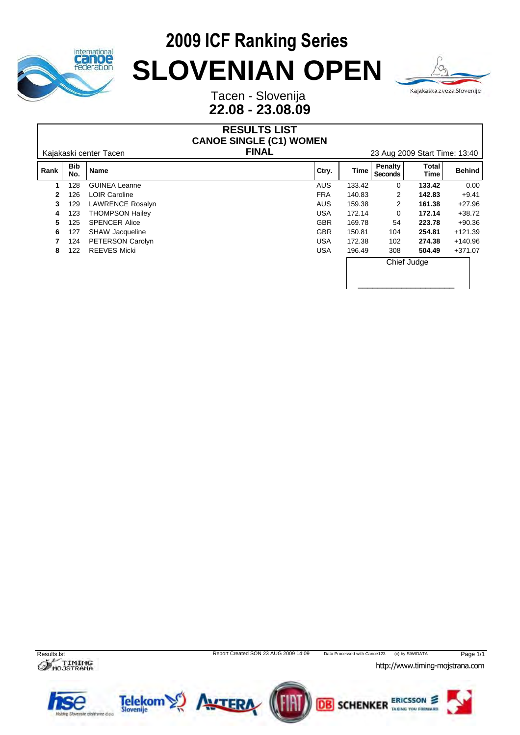



Tacen - Slovenija **22.08 - 23.08.09**

#### **RESULTS LIST CANOE SINGLE (C1) WOMEN**

Kajakaski center Tacen **FINAL** 23 Aug 2009 Start Time: 13:40

\_\_\_\_\_\_\_\_\_\_\_\_\_\_\_\_\_\_\_\_

| Rank         | <b>Bib</b><br>No. | <b>Name</b>            | Ctry.      | Time        | Penalty<br><b>Seconds</b> | Total<br>Time | Behind    |
|--------------|-------------------|------------------------|------------|-------------|---------------------------|---------------|-----------|
|              | 128               | <b>GUINEA Leanne</b>   | <b>AUS</b> | 133.42      | 0                         | 133.42        | 0.00      |
| $\mathbf{2}$ | 126               | <b>LOIR Caroline</b>   | <b>FRA</b> | 140.83      | 2                         | 142.83        | $+9.41$   |
| 3            | 129               | LAWRENCE Rosalyn       | <b>AUS</b> | 159.38      | 2                         | 161.38        | $+27.96$  |
| 4            | 123               | <b>THOMPSON Hailey</b> | <b>USA</b> | 172.14      | 0                         | 172.14        | $+38.72$  |
| 5.           | 125               | <b>SPENCER Alice</b>   | <b>GBR</b> | 169.78      | 54                        | 223.78        | $+90.36$  |
| 6.           | 127               | SHAW Jacqueline        | <b>GBR</b> | 150.81      | 104                       | 254.81        | $+121.39$ |
|              | 124               | PETERSON Carolyn       | <b>USA</b> | 172.38      | 102                       | 274.38        | +140.96   |
| 8            | 122               | <b>REEVES Micki</b>    | <b>USA</b> | 196.49      | 308                       | 504.49        | $+371.07$ |
|              |                   |                        |            | Chief Judge |                           |               |           |



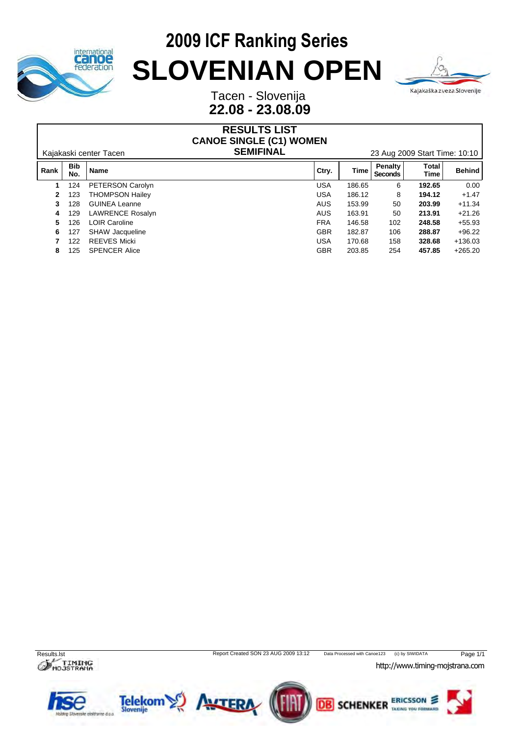



Tacen - Slovenija **22.08 - 23.08.09**

#### **RESULTS LIST** Kajakaski center Tacen **SEMIFINAL** 23 Aug 2009 Start Time: 10:10 **CANOE SINGLE (C1) WOMEN**

| Rank | <b>Bib</b><br>No. | Name                   | Ctry.      | Time   | Penalty<br><b>Seconds</b> | Total<br>Time | <b>Behind</b> |
|------|-------------------|------------------------|------------|--------|---------------------------|---------------|---------------|
|      | 124               | PETERSON Carolyn       | <b>USA</b> | 186.65 | 6                         | 192.65        | 0.00          |
| 2    | 123               | <b>THOMPSON Hailey</b> | <b>USA</b> | 186.12 | 8                         | 194.12        | $+1.47$       |
| 3    | 128               | <b>GUINEA Leanne</b>   | <b>AUS</b> | 153.99 | 50                        | 203.99        | $+11.34$      |
| 4    | 129               | LAWRENCE Rosalyn       | <b>AUS</b> | 163.91 | 50                        | 213.91        | $+21.26$      |
| 5.   | 126               | LOIR Caroline          | <b>FRA</b> | 146.58 | 102                       | 248.58        | $+55.93$      |
| 6    | 127               | <b>SHAW Jacqueline</b> | <b>GBR</b> | 182.87 | 106                       | 288.87        | $+96.22$      |
|      | 122               | <b>REEVES Micki</b>    | USA        | 170.68 | 158                       | 328.68        | $+136.03$     |
| 8    | 125               | <b>SPENCER Alice</b>   | <b>GBR</b> | 203.85 | 254                       | 457.85        | $+265.20$     |



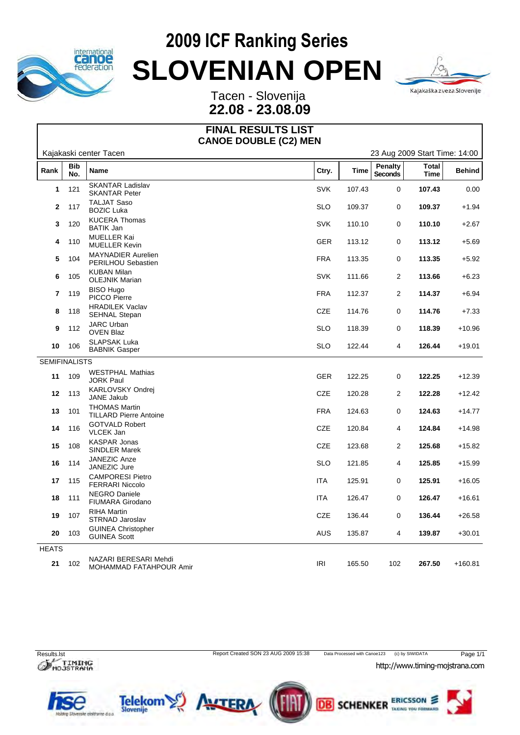



Tacen - Slovenija **22.08 - 23.08.09**

#### **FINAL RESULTS LIST CANOE DOUBLE (C2) MEN**

|                      | Kajakaski center Tacen<br>23 Aug 2009 Start Time: 14:00 |                                                       |            |             |                                  |                             |               |  |  |
|----------------------|---------------------------------------------------------|-------------------------------------------------------|------------|-------------|----------------------------------|-----------------------------|---------------|--|--|
| Rank                 | <b>Bib</b><br>No.                                       | Name                                                  | Ctry.      | <b>Time</b> | <b>Penalty</b><br><b>Seconds</b> | <b>Total</b><br><b>Time</b> | <b>Behind</b> |  |  |
| $\mathbf{1}$         | 121                                                     | <b>SKANTAR Ladislav</b><br><b>SKANTAR Peter</b>       | <b>SVK</b> | 107.43      | 0                                | 107.43                      | 0.00          |  |  |
|                      | 2 117                                                   | <b>TALJAT Saso</b><br><b>BOZIC Luka</b>               | <b>SLO</b> | 109.37      | 0                                | 109.37                      | $+1.94$       |  |  |
| $\mathbf{3}$         | 120                                                     | <b>KUCERA Thomas</b><br><b>BATIK Jan</b>              | SVK        | 110.10      | 0                                | 110.10                      | $+2.67$       |  |  |
|                      | 4 110                                                   | MUELLER Kai<br><b>MUELLER Kevin</b>                   | <b>GER</b> | 113.12      | 0                                | 113.12                      | $+5.69$       |  |  |
| 5                    | 104                                                     | <b>MAYNADIER Aurelien</b><br>PERILHOU Sebastien       | <b>FRA</b> | 113.35      | 0                                | 113.35                      | $+5.92$       |  |  |
| 6                    | 105                                                     | <b>KUBAN Milan</b><br><b>OLEJNIK Marian</b>           | SVK        | 111.66      | $\overline{c}$                   | 113.66                      | $+6.23$       |  |  |
|                      | 7 119                                                   | <b>BISO Hugo</b><br>PICCO Pierre                      | <b>FRA</b> | 112.37      | $\overline{2}$                   | 114.37                      | $+6.94$       |  |  |
| 8                    | 118                                                     | <b>HRADILEK Vaclav</b><br><b>SEHNAL Stepan</b>        | CZE        | 114.76      | 0                                | 114.76                      | $+7.33$       |  |  |
| 9                    | 112                                                     | <b>JARC Urban</b><br><b>OVEN Blaz</b>                 | <b>SLO</b> | 118.39      | 0                                | 118.39                      | $+10.96$      |  |  |
| 10                   | 106                                                     | <b>SLAPSAK Luka</b><br><b>BABNIK Gasper</b>           | <b>SLO</b> | 122.44      | $\overline{4}$                   | 126.44                      | $+19.01$      |  |  |
| <b>SEMIFINALISTS</b> |                                                         |                                                       |            |             |                                  |                             |               |  |  |
| 11                   | 109                                                     | <b>WESTPHAL Mathias</b><br>JORK Paul                  | <b>GER</b> | 122.25      | 0                                | 122.25                      | $+12.39$      |  |  |
|                      | 12 113                                                  | KARLOVSKY Ondrej<br>JANE Jakub                        | <b>CZE</b> | 120.28      | $\overline{2}$                   | 122.28                      | $+12.42$      |  |  |
| 13                   | 101                                                     | <b>THOMAS Martin</b><br><b>TILLARD Pierre Antoine</b> | <b>FRA</b> | 124.63      | 0                                | 124.63                      | $+14.77$      |  |  |
| 14                   | 116                                                     | <b>GOTVALD Robert</b><br>VLCEK Jan                    | CZE        | 120.84      | $\overline{4}$                   | 124.84                      | $+14.98$      |  |  |
| 15                   | 108                                                     | <b>KASPAR Jonas</b><br>SINDLER Marek                  | CZE        | 123.68      | $\overline{2}$                   | 125.68                      | $+15.82$      |  |  |
| 16                   | 114                                                     | JANEZIC Anze<br>JANEZIC Jure                          | <b>SLO</b> | 121.85      | 4                                | 125.85                      | $+15.99$      |  |  |
| 17                   | 115                                                     | <b>CAMPORESI Pietro</b><br><b>FERRARI Niccolo</b>     | <b>ITA</b> | 125.91      | 0                                | 125.91                      | $+16.05$      |  |  |
| 18                   | 111                                                     | <b>NEGRO Daniele</b><br>FIUMARA Girodano              | <b>ITA</b> | 126.47      | 0                                | 126.47                      | $+16.61$      |  |  |
| 19                   | 107                                                     | <b>RIHA Martin</b><br>STRNAD Jaroslav                 | CZE        | 136.44      | 0                                | 136.44                      | $+26.58$      |  |  |
| 20                   | 103                                                     | <b>GUINEA Christopher</b><br><b>GUINEA Scott</b>      | <b>AUS</b> | 135.87      | 4                                | 139.87                      | $+30.01$      |  |  |
| <b>HEATS</b>         |                                                         |                                                       |            |             |                                  |                             |               |  |  |
| 21                   | 102                                                     | NAZARI BERESARI Mehdi<br>MOHAMMAD FATAHPOUR Amir      | IRI        | 165.50      | 102                              | 267.50                      | $+160.81$     |  |  |



Results.lst Report Created SON 23 AUG 2009 15:38 Data Processed with Canoe123 (c) by SIWIDATA Page 1/1